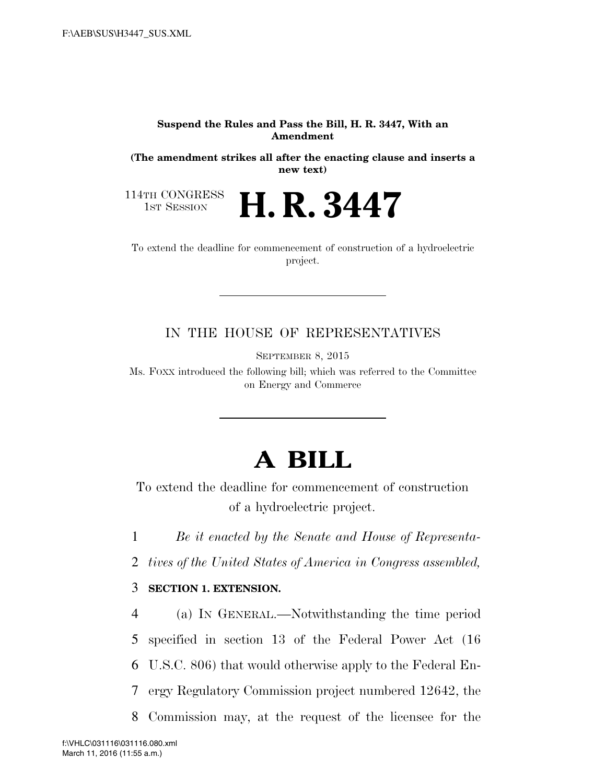## **Suspend the Rules and Pass the Bill, H. R. 3447, With an Amendment**

**(The amendment strikes all after the enacting clause and inserts a new text)** 

114TH CONGRESS<br>1st Session

**H. R. 3447** 

To extend the deadline for commencement of construction of a hydroelectric project.

## IN THE HOUSE OF REPRESENTATIVES

SEPTEMBER 8, 2015

Ms. FOXX introduced the following bill; which was referred to the Committee on Energy and Commerce

## **A BILL**

To extend the deadline for commencement of construction of a hydroelectric project.

1 *Be it enacted by the Senate and House of Representa-*

2 *tives of the United States of America in Congress assembled,* 

## 3 **SECTION 1. EXTENSION.**

 (a) IN GENERAL.—Notwithstanding the time period specified in section 13 of the Federal Power Act (16 U.S.C. 806) that would otherwise apply to the Federal En- ergy Regulatory Commission project numbered 12642, the Commission may, at the request of the licensee for the